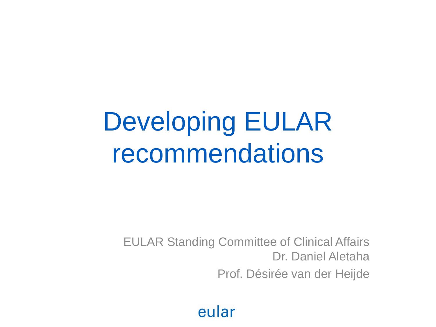# Developing EULAR recommendations

EULAR Standing Committee of Clinical Affairs Dr. Daniel Aletaha Prof. Désirée van der Heijde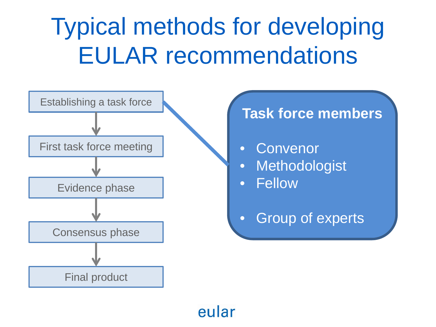## Typical methods for developing EULAR recommendations

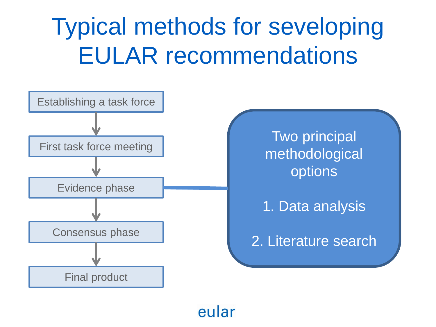## Typical methods for seveloping EULAR recommendations

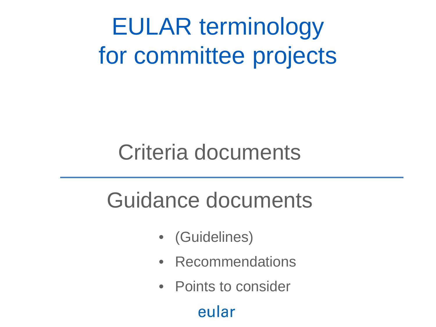EULAR terminology for committee projects

### Criteria documents

## Guidance documents

- (Guidelines)
- Recommendations
- Points to consider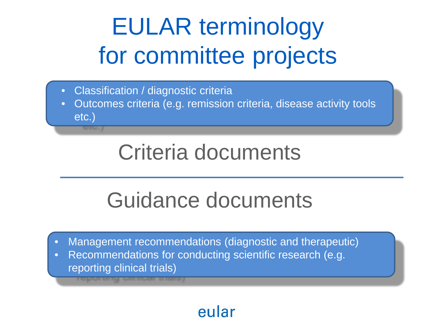# EULAR terminology for committee projects

- Classification / diagnostic criteria
- Outcomes criteria (e.g. remission criteria, disease activity tools etc.)

## Criteria documents

## Guidance documents

- Management recommendations (diagnostic and therapeutic)
- Recommendations for conducting scientific research (e.g. reporting clinical trials)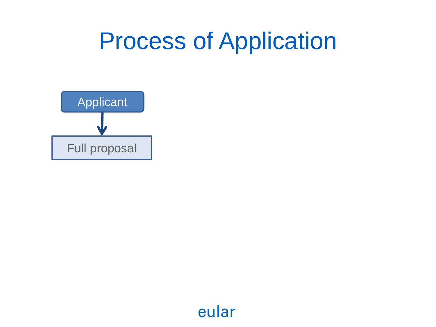## Process of Application

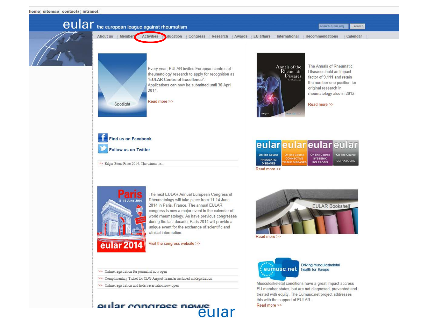

Visit the congress website >>

- >> Online registration for journalist now open
- >> Complimentary Ticket for CDG Airport Transfer included in Registration
- >> Online registration and hotel reservation now open

#### aular congrace navve eular



Musculoskeletal conditions have a great impact accross EU member states, but are not diagnosed, prevented and treated with equity. The Eumusc.net project addresses this with the support of EULAR. Read more >>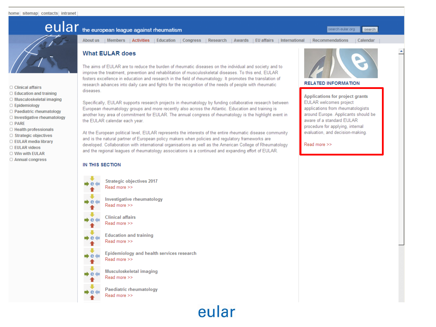- □ Clinical affairs
- $\Box$  Education and training
- O Musculoskeletal imaging
- □ Epidemiology
- □ Paediatric rheumatology
- $\Box$  Investigative rheumatology
- O PARE
- □ Health professionals
- □ Strategic objectives
- □ EULAR media library
- **D EULAR videos**
- O Win with EULAR
- □ Annual congress

### **CUIAr** the european league against rheumatism

**What EULAR does** 

the EULAR calendar each year.

diseases

About us | Members | Activities | Education | Congress | Research | Awards | EU affairs | International | Recommendations

fosters excellence in education and research in the field of rheumatology. It promotes the translation of

Specifically, EULAR supports research projects in rheumatology by funding collaborative research between

another key area of commitment for EULAR. The annual congress of rheumatology is the highlight event in

At the European political level, EULAR represents the interests of the entire rheumatic disease community

developed. Collaboration with international organisations as well as the American College of Rheumatology

research advances into daily care and fights for the recognition of the needs of people with rheumatic

European rheumatology groups and more recently also across the Atlantic. Education and training is

and is the natural partner of European policy makers when policies and regulatory frameworks are

and the regional leagues of rheumatology associations is a continued and expanding effort of EULAR.

Calendar

search

search eular.org

### The aims of EULAR are to reduce the burden of rheumatic diseases on the individual and society and to improve the treatment, prevention and rehabilitation of musculoskeletal diseases. To this end, EULAR

#### **RELATED INFORMATION**

**Applications for project grants** EULAR welcomes project applications from rheumatologists around Europe. Applicants should be aware of a standard EULAR procedure for applying, internal evaluation, and decision-making.

Read more >>

#### IN THIS SECTION

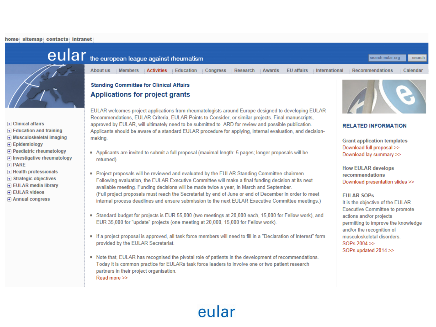#### home sitemap contacts intranet



- F Clinical affairs
- $\mathbf{F}$  Education and training
- $\mathbf{F}$  Musculoskeletal imaging
- F Epidemiology
- F Paediatric rheumatology
- $\Box$  Investigative rheumatology
- **FI PARE**
- + Health professionals
- $\Box$  Strategic objectives
- F EULAR media library
- **FIEULAR videos**
- $\overline{+}$  Annual congress



EULAR welcomes project applications from rheumatologists around Europe designed to developing EULAR Recommendations, EULAR Criteria, EULAR Points to Consider, or similar projects. Final manuscripts, approved by EULAR, will ultimately need to be submitted to ARD for review and possible publication. Applicants should be aware of a standard EULAR procedure for applying, internal evaluation, and decisionmaking.

- Applicants are invited to submit a full proposal (maximal length: 5 pages; longer proposals will be returned)
- Project proposals will be reviewed and evaluated by the EULAR Standing Committee chairmen. Following evaluation, the EULAR Executive Committee will make a final funding decision at its next available meeting. Funding decisions will be made twice a year, in March and September. (Full project proposals must reach the Secretariat by end of June or end of December in order to meet internal process deadlines and ensure submission to the next EULAR Executive Committee meetings.)
- Standard budget for projects is EUR 55,000 (two meetings at 20,000 each, 15,000 for Fellow work), and EUR 35,000 for "update" projects (one meeting at 20,000, 15,000 for Fellow work).
- If a project proposal is approved, all task force members will need to fill in a "Declaration of Interest" form provided by the EULAR Secretariat.
- Note that, EULAR has recognised the pivotal role of patients in the development of recommendations. Today it is common practice for EULARs task force leaders to involve one or two patient research partners in their project organisation. Read more >>

### eular

### **RELATED INFORMATION**

**Grant application templates** Download full proposal >> Download lay summary >>

**How EULAR develops** recommendations Download presentation slides >>

#### **EULAR SOPS**

It is the objective of the EULAR **Executive Committee to promote** actions and/or projects permitting to improve the knowledge and/or the recognition of musculoskeletal disorders. SOPs 2004 >> SOPs updated 2014 >>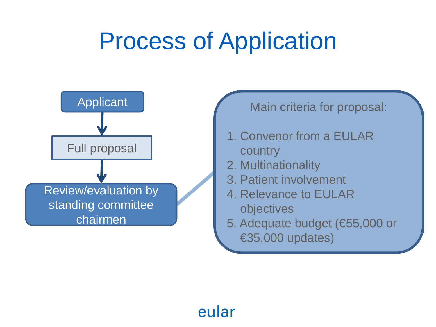## Process of Application

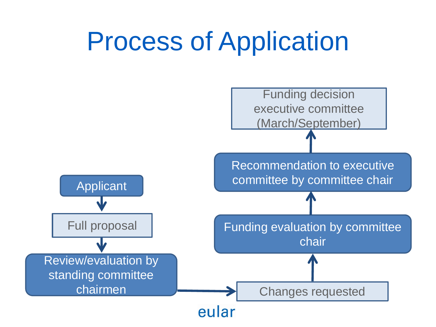# Process of Application

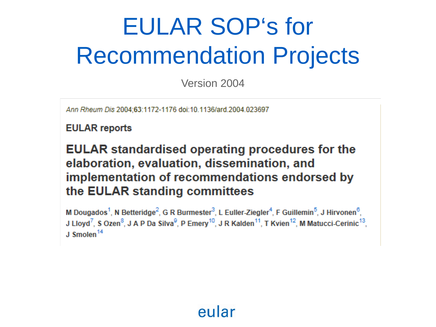# EULAR SOP's for Recommendation Projects

Version 2004

Ann Rheum Dis 2004:63:1172-1176 doi:10.1136/ard.2004.023697

**EULAR** reports

**EULAR** standardised operating procedures for the elaboration, evaluation, dissemination, and implementation of recommendations endorsed by the EULAR standing committees

M Dougados<sup>1</sup>, N Betteridge<sup>2</sup>, G R Burmester<sup>3</sup>, L Euller-Ziegler<sup>4</sup>, F Guillemin<sup>5</sup>, J Hirvonen<sup>6</sup>, J Lloyd<sup>7</sup>, S Ozen<sup>8</sup>, J A P Da Silva<sup>9</sup>, P Emery<sup>10</sup>, J R Kalden<sup>11</sup>, T Kvien<sup>12</sup>, M Matucci-Cerinic<sup>13</sup>, J Smolen<sup>14</sup>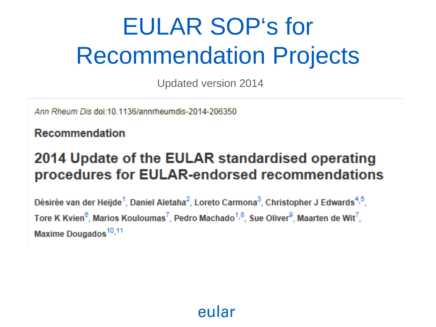# EULAR SOP's for Recommendation Projects

Updated version 2014

Ann Rheum Dis doi:10.1136/annrheumdis-2014-206350

Recommendation

### 2014 Update of the EULAR standardised operating procedures for EULAR-endorsed recommendations

Désirée van der Heijde<sup>1</sup>, Daniel Aletaha<sup>2</sup>, Loreto Carmona<sup>3</sup>, Christopher J Edwards<sup>4,5</sup>, Tore K Kvien<sup>6</sup>, Marios Kouloumas<sup>7</sup>, Pedro Machado<sup>1,8</sup>, Sue Oliver<sup>9</sup>, Maarten de Wit<sup>7</sup>, Maxime Dougados<sup>10,11</sup>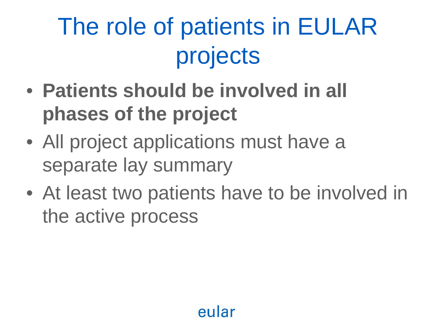# The role of patients in EULAR projects

- **Patients should be involved in all phases of the project**
- All project applications must have a separate lay summary
- At least two patients have to be involved in the active process